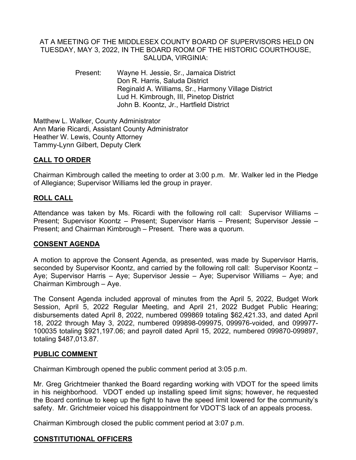## AT A MEETING OF THE MIDDLESEX COUNTY BOARD OF SUPERVISORS HELD ON TUESDAY, MAY 3, 2022, IN THE BOARD ROOM OF THE HISTORIC COURTHOUSE, SALUDA, VIRGINIA:

Present: Wayne H. Jessie, Sr., Jamaica District Don R. Harris, Saluda District Reginald A. Williams, Sr., Harmony Village District Lud H. Kimbrough, III, Pinetop District John B. Koontz, Jr., Hartfield District

Matthew L. Walker, County Administrator Ann Marie Ricardi, Assistant County Administrator Heather W. Lewis, County Attorney Tammy-Lynn Gilbert, Deputy Clerk

# **CALL TO ORDER**

Chairman Kimbrough called the meeting to order at 3:00 p.m. Mr. Walker led in the Pledge of Allegiance; Supervisor Williams led the group in prayer.

## **ROLL CALL**

Attendance was taken by Ms. Ricardi with the following roll call: Supervisor Williams – Present; Supervisor Koontz – Present; Supervisor Harris – Present; Supervisor Jessie – Present; and Chairman Kimbrough – Present. There was a quorum.

## **CONSENT AGENDA**

A motion to approve the Consent Agenda, as presented, was made by Supervisor Harris, seconded by Supervisor Koontz, and carried by the following roll call: Supervisor Koontz – Aye; Supervisor Harris – Aye; Supervisor Jessie – Aye; Supervisor Williams – Aye; and Chairman Kimbrough – Aye.

The Consent Agenda included approval of minutes from the April 5, 2022, Budget Work Session, April 5, 2022 Regular Meeting, and April 21, 2022 Budget Public Hearing; disbursements dated April 8, 2022, numbered 099869 totaling \$62,421.33, and dated April 18, 2022 through May 3, 2022, numbered 099898-099975, 099976-voided, and 099977- 100035 totaling \$921,197.06; and payroll dated April 15, 2022, numbered 099870-099897, totaling \$487,013.87.

## **PUBLIC COMMENT**

Chairman Kimbrough opened the public comment period at 3:05 p.m.

Mr. Greg Grichtmeier thanked the Board regarding working with VDOT for the speed limits in his neighborhood. VDOT ended up installing speed limit signs; however, he requested the Board continue to keep up the fight to have the speed limit lowered for the community's safety. Mr. Grichtmeier voiced his disappointment for VDOT'S lack of an appeals process.

Chairman Kimbrough closed the public comment period at 3:07 p.m.

## **CONSTITUTIONAL OFFICERS**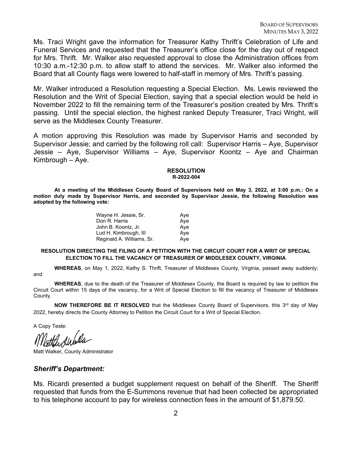Ms. Traci Wright gave the information for Treasurer Kathy Thrift's Celebration of Life and Funeral Services and requested that the Treasurer's office close for the day out of respect for Mrs. Thrift. Mr. Walker also requested approval to close the Administration offices from 10:30 a.m.-12:30 p.m. to allow staff to attend the services. Mr. Walker also informed the Board that all County flags were lowered to half-staff in memory of Mrs. Thrift's passing.

Mr. Walker introduced a Resolution requesting a Special Election. Ms. Lewis reviewed the Resolution and the Writ of Special Election, saying that a special election would be held in November 2022 to fill the remaining term of the Treasurer's position created by Mrs. Thrift's passing. Until the special election, the highest ranked Deputy Treasurer, Traci Wright, will serve as the Middlesex County Treasurer.

A motion approving this Resolution was made by Supervisor Harris and seconded by Supervisor Jessie; and carried by the following roll call: Supervisor Harris – Aye, Supervisor Jessie – Aye, Supervisor Williams – Aye, Supervisor Koontz – Aye and Chairman Kimbrough – Aye.

#### **RESOLUTION R-2022-004**

**At a meeting of the Middlesex County Board of Supervisors held on May 3, 2022, at 3:00 p.m.: On a motion duly made by Supervisor Harris, and seconded by Supervisor Jessie, the following Resolution was adopted by the following vote:** 

| Wayne H. Jessie, Sr.      | Aye |
|---------------------------|-----|
| Don R. Harris             | Aye |
| John B. Koontz, Jr.       | Aye |
| Lud H. Kimbrough, III     | Aye |
| Reginald A. Williams, Sr. | Ave |

#### **RESOLUTION DIRECTING THE FILING OF A PETITION WITH THE CIRCUIT COURT FOR A WRIT OF SPECIAL ELECTION TO FILL THE VACANCY OF TREASURER OF MIDDLESEX COUNTY, VIRGINIA**

**WHEREAS**, on May 1, 2022, Kathy S. Thrift, Treasurer of Middlesex County, Virginia, passed away suddenly;

**WHEREAS**, due to the death of the Treasurer of Middlesex County, the Board is required by law to petition the Circuit Court within 15 days of the vacancy, for a Writ of Special Election to fill the vacancy of Treasurer of Middlesex County.

**NOW THEREFORE BE IT RESOLVED** that the Middlesex County Board of Supervisors, this 3<sup>rd</sup> day of May 2022, hereby directs the County Attorney to Petition the Circuit Court for a Writ of Special Election.

A Copy Teste:

and

Matt Walker, County Administrator

#### *Sheriff's Department:*

Ms. Ricardi presented a budget supplement request on behalf of the Sheriff. The Sheriff requested that funds from the E-Summons revenue that had been collected be appropriated to his telephone account to pay for wireless connection fees in the amount of \$1,879.50.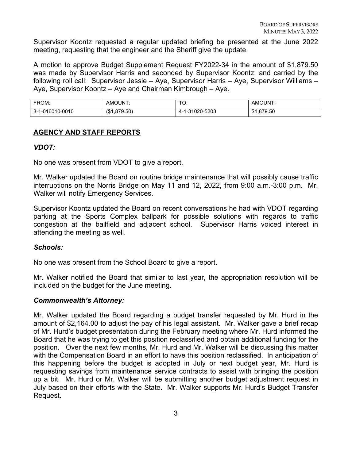Supervisor Koontz requested a regular updated briefing be presented at the June 2022 meeting, requesting that the engineer and the Sheriff give the update.

A motion to approve Budget Supplement Request FY2022-34 in the amount of \$1,879.50 was made by Supervisor Harris and seconded by Supervisor Koontz; and carried by the following roll call: Supervisor Jessie – Aye, Supervisor Harris – Aye, Supervisor Williams – Aye, Supervisor Koontz – Aye and Chairman Kimbrough – Aye.

| FROM:           | AMOUNT:      | ⊤∼<br>J.           | AMOUNT:    |
|-----------------|--------------|--------------------|------------|
| 3-1-016010-0010 | (\$1,879.50) | 1-31020-5203<br>4- | \$1,879.50 |

# **AGENCY AND STAFF REPORTS**

### *VDOT:*

No one was present from VDOT to give a report.

Mr. Walker updated the Board on routine bridge maintenance that will possibly cause traffic interruptions on the Norris Bridge on May 11 and 12, 2022, from 9:00 a.m.-3:00 p.m. Mr. Walker will notify Emergency Services.

Supervisor Koontz updated the Board on recent conversations he had with VDOT regarding parking at the Sports Complex ballpark for possible solutions with regards to traffic congestion at the ballfield and adjacent school. Supervisor Harris voiced interest in attending the meeting as well.

## *Schools:*

No one was present from the School Board to give a report.

Mr. Walker notified the Board that similar to last year, the appropriation resolution will be included on the budget for the June meeting.

## *Commonwealth's Attorney:*

Mr. Walker updated the Board regarding a budget transfer requested by Mr. Hurd in the amount of \$2,164.00 to adjust the pay of his legal assistant. Mr. Walker gave a brief recap of Mr. Hurd's budget presentation during the February meeting where Mr. Hurd informed the Board that he was trying to get this position reclassified and obtain additional funding for the position. Over the next few months, Mr. Hurd and Mr. Walker will be discussing this matter with the Compensation Board in an effort to have this position reclassified. In anticipation of this happening before the budget is adopted in July or next budget year, Mr. Hurd is requesting savings from maintenance service contracts to assist with bringing the position up a bit. Mr. Hurd or Mr. Walker will be submitting another budget adjustment request in July based on their efforts with the State. Mr. Walker supports Mr. Hurd's Budget Transfer Request.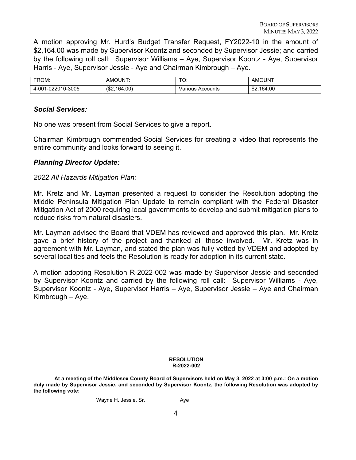A motion approving Mr. Hurd's Budget Transfer Request, FY2022-10 in the amount of \$2,164.00 was made by Supervisor Koontz and seconded by Supervisor Jessie; and carried by the following roll call: Supervisor Williams – Aye, Supervisor Koontz - Aye, Supervisor Harris - Aye, Supervisor Jessie - Aye and Chairman Kimbrough – Aye.

| FROM:                  | AMOUNT:      | $\sim$<br>$\ddotsc$ | AMOUNT:    |
|------------------------|--------------|---------------------|------------|
| 1-022010-3005<br>4-001 | (\$2,164.00) | Various Accounts    | \$2,164.00 |

### *Social Services:*

No one was present from Social Services to give a report.

Chairman Kimbrough commended Social Services for creating a video that represents the entire community and looks forward to seeing it.

### *Planning Director Update:*

### *2022 All Hazards Mitigation Plan:*

Mr. Kretz and Mr. Layman presented a request to consider the Resolution adopting the Middle Peninsula Mitigation Plan Update to remain compliant with the Federal Disaster Mitigation Act of 2000 requiring local governments to develop and submit mitigation plans to reduce risks from natural disasters.

Mr. Layman advised the Board that VDEM has reviewed and approved this plan. Mr. Kretz gave a brief history of the project and thanked all those involved. Mr. Kretz was in agreement with Mr. Layman, and stated the plan was fully vetted by VDEM and adopted by several localities and feels the Resolution is ready for adoption in its current state.

A motion adopting Resolution R-2022-002 was made by Supervisor Jessie and seconded by Supervisor Koontz and carried by the following roll call: Supervisor Williams - Aye, Supervisor Koontz - Aye, Supervisor Harris – Aye, Supervisor Jessie – Aye and Chairman Kimbrough – Aye.

#### **RESOLUTION R-2022-002**

**At a meeting of the Middlesex County Board of Supervisors held on May 3, 2022 at 3:00 p.m.: On a motion duly made by Supervisor Jessie, and seconded by Supervisor Koontz, the following Resolution was adopted by the following vote:** 

Wayne H. Jessie, Sr. **Aye**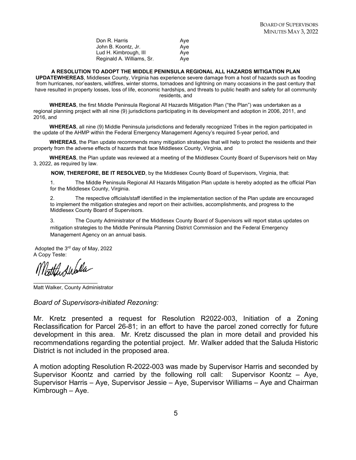| Don R. Harris             | Aye |
|---------------------------|-----|
| John B. Koontz, Jr.       | Aye |
| Lud H. Kimbrough, III     | Aye |
| Reginald A. Williams, Sr. | Aye |

**A RESOLUTION TO ADOPT THE MIDDLE PENINSULA REGIONAL ALL HAZARDS MITIGATION PLAN** 

**UPDATEWHEREAS**, Middlesex County, Virginia has experience severe damage from a host of hazards such as flooding from hurricanes, nor'easters, wildfires, winter storms, tornadoes and lightning on many occasions in the past century that have resulted in property losses, loss of life, economic hardships, and threats to public health and safety for all community residents, and

 **WHEREAS**, the first Middle Peninsula Regional All Hazards Mitigation Plan ("the Plan") was undertaken as a regional planning project with all nine (9) jurisdictions participating in its development and adoption in 2006, 2011, and 2016, and

 **WHEREAS**, all nine (9) Middle Peninsula jurisdictions and federally recognized Tribes in the region participated in the update of the AHMP within the Federal Emergency Management Agency's required 5-year period, and

 **WHEREAS**, the Plan update recommends many mitigation strategies that will help to protect the residents and their property from the adverse effects of hazards that face Middlesex County, Virginia, and

 **WHEREAS**, the Plan update was reviewed at a meeting of the Middlesex County Board of Supervisors held on May 3, 2022, as required by law.

**NOW, THEREFORE, BE IT RESOLVED**, by the Middlesex County Board of Supervisors, Virginia, that:

1. The Middle Peninsula Regional All Hazards Mitigation Plan update is hereby adopted as the official Plan for the Middlesex County, Virginia.

2. The respective officials/staff identified in the implementation section of the Plan update are encouraged to implement the mitigation strategies and report on their activities, accomplishments, and progress to the Middlesex County Board of Supervisors.

3. The County Administrator of the Middlesex County Board of Supervisors will report status updates on mitigation strategies to the Middle Peninsula Planning District Commission and the Federal Emergency Management Agency on an annual basis.

Adopted the 3rd day of May, 2022 A Copy Teste:

Matthedubla

 $\overline{\phantom{a}}$  , and the set of the set of the set of the set of the set of the set of the set of the set of the set of the set of the set of the set of the set of the set of the set of the set of the set of the set of the s

Matt Walker, County Administrator

*Board of Supervisors-initiated Rezoning:* 

Mr. Kretz presented a request for Resolution R2022-003, Initiation of a Zoning Reclassification for Parcel 26-81; in an effort to have the parcel zoned correctly for future development in this area. Mr. Kretz discussed the plan in more detail and provided his recommendations regarding the potential project. Mr. Walker added that the Saluda Historic District is not included in the proposed area.

A motion adopting Resolution R-2022-003 was made by Supervisor Harris and seconded by Supervisor Koontz and carried by the following roll call: Supervisor Koontz – Aye, Supervisor Harris – Aye, Supervisor Jessie – Aye, Supervisor Williams – Aye and Chairman Kimbrough – Aye.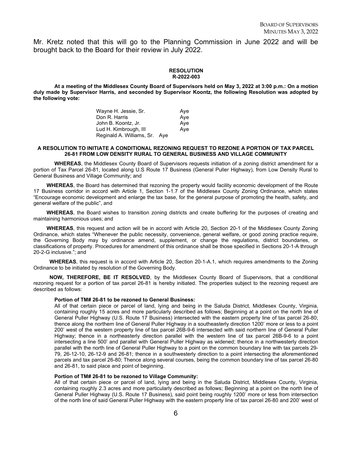Mr. Kretz noted that this will go to the Planning Commission in June 2022 and will be brought back to the Board for their review in July 2022.

#### **RESOLUTION R-2022-003**

**At a meeting of the Middlesex County Board of Supervisors held on May 3, 2022 at 3:00 p.m.: On a motion duly made by Supervisor Harris, and seconded by Supervisor Koontz, the following Resolution was adopted by the following vote:** 

> Wayne H. Jessie, Sr. **Aye** Don R. Harris Aye John B. Koontz, Jr. Aye Lud H. Kimbrough, III **Aye** Reginald A. Williams, Sr. Aye

#### **A RESOLUTION TO INITIATE A CONDITIONAL REZONING REQUEST TO REZONE A PORTION OF TAX PARCEL 26-81 FROM LOW DENSITY RURAL TO GENERAL BUSINESS AND VILLAGE COMMUNITY**

**WHEREAS**, the Middlesex County Board of Supervisors requests initiation of a zoning district amendment for a portion of Tax Parcel 26-81, located along U.S Route 17 Business (General Puller Highway), from Low Density Rural to General Business and Village Community; and

 **WHEREAS**, the Board has determined that rezoning the property would facility economic development of the Route 17 Business corridor in accord with Article 1, Section 1-1.7 of the Middlesex County Zoning Ordinance, which states "Encourage economic development and enlarge the tax base, for the general purpose of promoting the health, safety, and general welfare of the public", and

 **WHEREAS**, the Board wishes to transition zoning districts and create buffering for the purposes of creating and maintaining harmonious uses; and

 **WHEREAS**, this request and action will be in accord with Article 20, Section 20-1 of the Middlesex County Zoning Ordinance, which states "Whenever the public necessity, convenience, general welfare, or good zoning practice require, the Governing Body may by ordinance amend, supplement, or change the regulations, district boundaries, or classifications of property. Procedures for amendment of this ordinance shall be those specified in Sections 20-1-A through 20-2-G inclusive."; and

 **WHEREAS**, this request is in accord with Article 20, Section 20-1-A.1, which requires amendments to the Zoning Ordinance to be initiated by resolution of the Governing Body.

 **NOW, THEREFORE, BE IT RESOLVED**, by the Middlesex County Board of Supervisors, that a conditional rezoning request for a portion of tax parcel 26-81 is hereby initiated. The properties subject to the rezoning request are described as follows:

#### **Portion of TM# 26-81 to be rezoned to General Business:**

All of that certain piece or parcel of land, lying and being in the Saluda District, Middlesex County, Virginia, containing roughly 15 acres and more particularly described as follows; Beginning at a point on the north line of General Puller Highway (U.S. Route 17 Business) intersected with the eastern property line of tax parcel 26-80; thence along the northern line of General Puller Highway in a southeasterly direction 1200' more or less to a point 200' west of the western property line of tax parcel 26B-9-6 intersected with said northern line of General Puller Highway; thence in a northeasterly direction parallel with the western line of tax parcel 26B-9-6 to a point intersecting a line 500' and parallel with General Puller Highway as widened; thence in a northwesterly direction parallel with the north line of General Puller Highway to a point on the common boundary line with tax parcels 29- 79, 26-12-10, 26-12-9 and 26-81; thence in a southwesterly direction to a point intersecting the aforementioned parcels and tax parcel 26-80; Thence along several courses, being the common boundary line of tax parcel 26-80 and 26-81, to said place and point of beginning.

#### **Portion of TM# 26-81 to be rezoned to Village Community:**

All of that certain piece or parcel of land, lying and being in the Saluda District, Middlesex County, Virginia, containing roughly 2.3 acres and more particularly described as follows; Beginning at a point on the north line of General Puller Highway (U.S. Route 17 Business), said point being roughly 1200 more or less from intersection of the north line of said General Puller Highway with the eastern property line of tax parcel 26-80 and 200' west of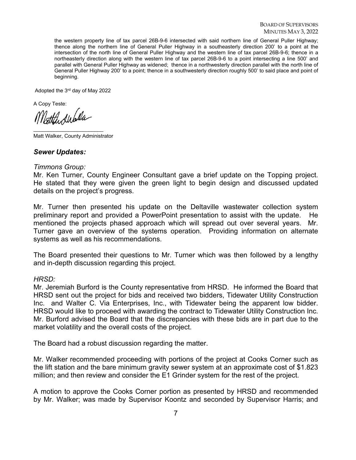the western property line of tax parcel 26B-9-6 intersected with said northern line of General Puller Highway; thence along the northern line of General Puller Highway in a southeasterly direction 200' to a point at the intersection of the north line of General Puller Highway and the western line of tax parcel 26B-9-6; thence in a northeasterly direction along with the western line of tax parcel 26B-9-6 to a point intersecting a line 500' and parallel with General Puller Highway as widened; thence in a northwesterly direction parallel with the north line of General Puller Highway 200' to a point; thence in a southwesterly direction roughly 500' to said place and point of beginning.

Adopted the 3rd day of May 2022

A Copy Teste:

the subla

\_\_\_\_\_\_\_\_\_\_\_\_\_\_\_\_\_\_\_\_\_\_\_\_ Matt Walker, County Administrator

#### *Sewer Updates:*

#### *Timmons Group:*

Mr. Ken Turner, County Engineer Consultant gave a brief update on the Topping project. He stated that they were given the green light to begin design and discussed updated details on the project's progress.

Mr. Turner then presented his update on the Deltaville wastewater collection system preliminary report and provided a PowerPoint presentation to assist with the update. He mentioned the projects phased approach which will spread out over several years. Mr. Turner gave an overview of the systems operation. Providing information on alternate systems as well as his recommendations.

The Board presented their questions to Mr. Turner which was then followed by a lengthy and in-depth discussion regarding this project.

#### *HRSD:*

Mr. Jeremiah Burford is the County representative from HRSD. He informed the Board that HRSD sent out the project for bids and received two bidders, Tidewater Utility Construction Inc. and Walter C. Via Enterprises, Inc., with Tidewater being the apparent low bidder. HRSD would like to proceed with awarding the contract to Tidewater Utility Construction Inc. Mr. Burford advised the Board that the discrepancies with these bids are in part due to the market volatility and the overall costs of the project.

The Board had a robust discussion regarding the matter.

Mr. Walker recommended proceeding with portions of the project at Cooks Corner such as the lift station and the bare minimum gravity sewer system at an approximate cost of \$1.823 million; and then review and consider the E1 Grinder system for the rest of the project.

A motion to approve the Cooks Corner portion as presented by HRSD and recommended by Mr. Walker; was made by Supervisor Koontz and seconded by Supervisor Harris; and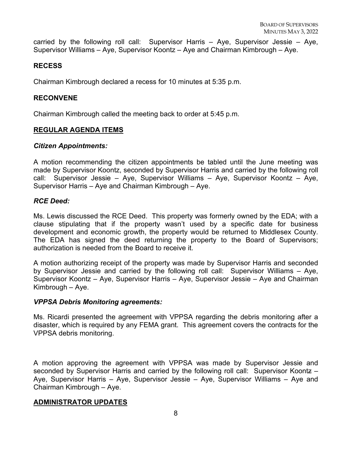carried by the following roll call: Supervisor Harris – Aye, Supervisor Jessie – Aye, Supervisor Williams – Aye, Supervisor Koontz – Aye and Chairman Kimbrough – Aye.

### **RECESS**

Chairman Kimbrough declared a recess for 10 minutes at 5:35 p.m.

### **RECONVENE**

Chairman Kimbrough called the meeting back to order at 5:45 p.m.

### **REGULAR AGENDA ITEMS**

#### *Citizen Appointments:*

A motion recommending the citizen appointments be tabled until the June meeting was made by Supervisor Koontz, seconded by Supervisor Harris and carried by the following roll call: Supervisor Jessie – Aye, Supervisor Williams – Aye, Supervisor Koontz – Aye, Supervisor Harris – Aye and Chairman Kimbrough – Aye.

### *RCE Deed:*

Ms. Lewis discussed the RCE Deed. This property was formerly owned by the EDA; with a clause stipulating that if the property wasn't used by a specific date for business development and economic growth, the property would be returned to Middlesex County. The EDA has signed the deed returning the property to the Board of Supervisors; authorization is needed from the Board to receive it.

A motion authorizing receipt of the property was made by Supervisor Harris and seconded by Supervisor Jessie and carried by the following roll call: Supervisor Williams – Aye, Supervisor Koontz – Aye, Supervisor Harris – Aye, Supervisor Jessie – Aye and Chairman Kimbrough – Aye.

#### *VPPSA Debris Monitoring agreements:*

Ms. Ricardi presented the agreement with VPPSA regarding the debris monitoring after a disaster, which is required by any FEMA grant. This agreement covers the contracts for the VPPSA debris monitoring.

A motion approving the agreement with VPPSA was made by Supervisor Jessie and seconded by Supervisor Harris and carried by the following roll call: Supervisor Koontz – Aye, Supervisor Harris – Aye, Supervisor Jessie – Aye, Supervisor Williams – Aye and Chairman Kimbrough – Aye.

## **ADMINISTRATOR UPDATES**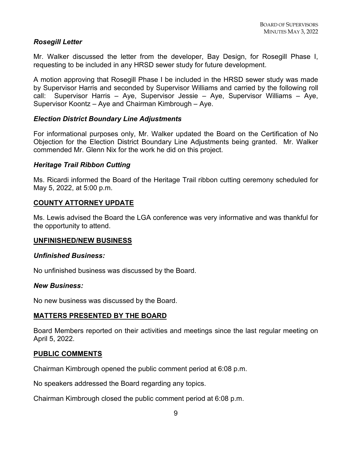## *Rosegill Letter*

Mr. Walker discussed the letter from the developer, Bay Design, for Rosegill Phase I, requesting to be included in any HRSD sewer study for future development.

A motion approving that Rosegill Phase I be included in the HRSD sewer study was made by Supervisor Harris and seconded by Supervisor Williams and carried by the following roll call: Supervisor Harris – Aye, Supervisor Jessie – Aye, Supervisor Williams – Aye, Supervisor Koontz – Aye and Chairman Kimbrough – Aye.

### *Election District Boundary Line Adjustments*

For informational purposes only, Mr. Walker updated the Board on the Certification of No Objection for the Election District Boundary Line Adjustments being granted. Mr. Walker commended Mr. Glenn Nix for the work he did on this project.

#### *Heritage Trail Ribbon Cutting*

Ms. Ricardi informed the Board of the Heritage Trail ribbon cutting ceremony scheduled for May 5, 2022, at 5:00 p.m.

## **COUNTY ATTORNEY UPDATE**

Ms. Lewis advised the Board the LGA conference was very informative and was thankful for the opportunity to attend.

#### **UNFINISHED/NEW BUSINESS**

#### *Unfinished Business:*

No unfinished business was discussed by the Board.

### *New Business:*

No new business was discussed by the Board.

#### **MATTERS PRESENTED BY THE BOARD**

Board Members reported on their activities and meetings since the last regular meeting on April 5, 2022.

#### **PUBLIC COMMENTS**

Chairman Kimbrough opened the public comment period at 6:08 p.m.

No speakers addressed the Board regarding any topics.

Chairman Kimbrough closed the public comment period at 6:08 p.m.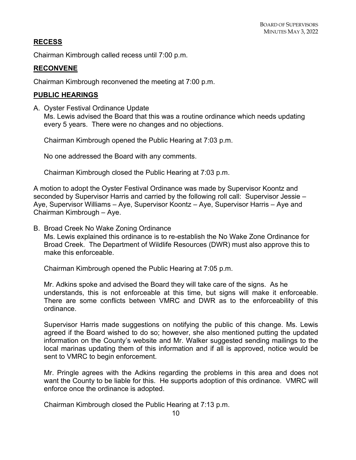# **RECESS**

Chairman Kimbrough called recess until 7:00 p.m.

# **RECONVENE**

Chairman Kimbrough reconvened the meeting at 7:00 p.m.

## **PUBLIC HEARINGS**

A. Oyster Festival Ordinance Update Ms. Lewis advised the Board that this was a routine ordinance which needs updating every 5 years. There were no changes and no objections.

Chairman Kimbrough opened the Public Hearing at 7:03 p.m.

No one addressed the Board with any comments.

Chairman Kimbrough closed the Public Hearing at 7:03 p.m.

A motion to adopt the Oyster Festival Ordinance was made by Supervisor Koontz and seconded by Supervisor Harris and carried by the following roll call: Supervisor Jessie – Aye, Supervisor Williams – Aye, Supervisor Koontz – Aye, Supervisor Harris – Aye and Chairman Kimbrough – Aye.

B. Broad Creek No Wake Zoning Ordinance

Ms. Lewis explained this ordinance is to re-establish the No Wake Zone Ordinance for Broad Creek. The Department of Wildlife Resources (DWR) must also approve this to make this enforceable.

Chairman Kimbrough opened the Public Hearing at 7:05 p.m.

Mr. Adkins spoke and advised the Board they will take care of the signs. As he understands, this is not enforceable at this time, but signs will make it enforceable. There are some conflicts between VMRC and DWR as to the enforceability of this ordinance.

Supervisor Harris made suggestions on notifying the public of this change. Ms. Lewis agreed if the Board wished to do so; however, she also mentioned putting the updated information on the County's website and Mr. Walker suggested sending mailings to the local marinas updating them of this information and if all is approved, notice would be sent to VMRC to begin enforcement.

Mr. Pringle agrees with the Adkins regarding the problems in this area and does not want the County to be liable for this. He supports adoption of this ordinance. VMRC will enforce once the ordinance is adopted.

Chairman Kimbrough closed the Public Hearing at 7:13 p.m.